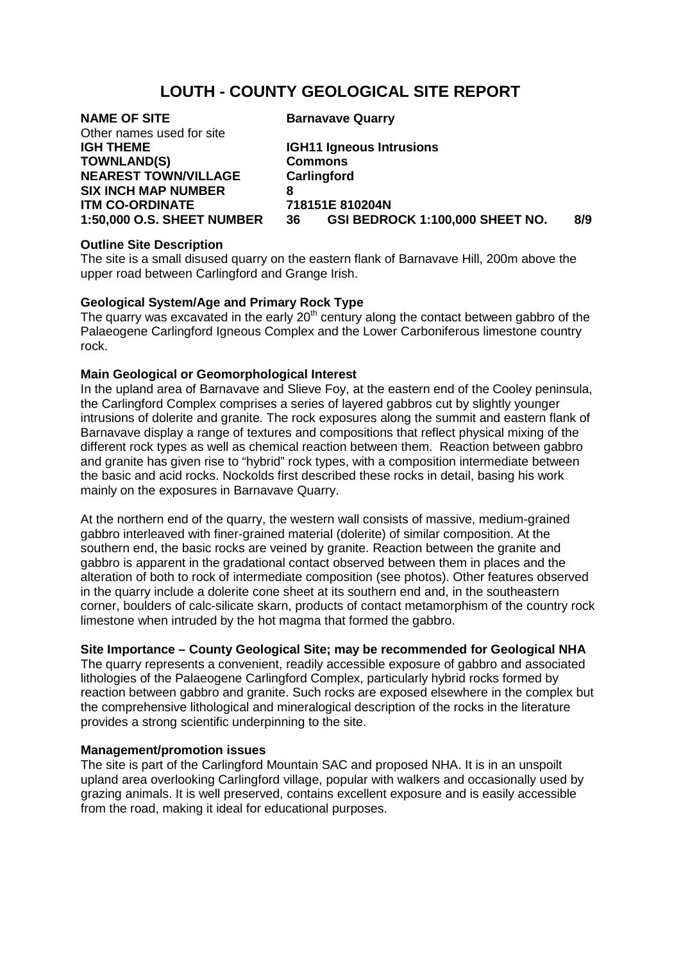## **LOUTH - COUNTY GEOLOGICAL SITE REPORT**

# **NAME OF SITE** Barnavave Quarry Other names used for site IGH THEME **TOWNLAND(S) Commons<br>NEAREST TOWN/VILLAGE Carlingford NEAREST TOWN/VILLAGE SIX INCH MAP NUMBER 8 ITM CO-ORDINATE 718**<br>1:50.000 O.S. SHEET NUMBER 36

**IGH11 Igneous Intrusions**<br>Commons **1:50,000 O.S. SHEET NUMBER 36 GSI BEDROCK 1:100,000 SHEET NO. 8/9**

#### **Outline Site Description**

The site is a small disused quarry on the eastern flank of Barnavave Hill, 200m above the upper road between Carlingford and Grange Irish.

#### **Geological System/Age and Primary Rock Type**

The quarry was excavated in the early  $20<sup>th</sup>$  century along the contact between gabbro of the Palaeogene Carlingford Igneous Complex and the Lower Carboniferous limestone country rock.

#### **Main Geological or Geomorphological Interest**

In the upland area of Barnavave and Slieve Foy, at the eastern end of the Cooley peninsula, the Carlingford Complex comprises a series of layered gabbros cut by slightly younger intrusions of dolerite and granite. The rock exposures along the summit and eastern flank of Barnavave display a range of textures and compositions that reflect physical mixing of the different rock types as well as chemical reaction between them. Reaction between gabbro and granite has given rise to "hybrid" rock types, with a composition intermediate between the basic and acid rocks. Nockolds first described these rocks in detail, basing his work mainly on the exposures in Barnavave Quarry.

At the northern end of the quarry, the western wall consists of massive, medium-grained gabbro interleaved with finer-grained material (dolerite) of similar composition. At the southern end, the basic rocks are veined by granite. Reaction between the granite and gabbro is apparent in the gradational contact observed between them in places and the alteration of both to rock of intermediate composition (see photos). Other features observed in the quarry include a dolerite cone sheet at its southern end and, in the southeastern corner, boulders of calc-silicate skarn, products of contact metamorphism of the country rock limestone when intruded by the hot magma that formed the gabbro.

### **Site Importance – County Geological Site; may be recommended for Geological NHA**

The quarry represents a convenient, readily accessible exposure of gabbro and associated lithologies of the Palaeogene Carlingford Complex, particularly hybrid rocks formed by reaction between gabbro and granite. Such rocks are exposed elsewhere in the complex but the comprehensive lithological and mineralogical description of the rocks in the literature provides a strong scientific underpinning to the site.

#### **Management/promotion issues**

The site is part of the Carlingford Mountain SAC and proposed NHA. It is in an unspoilt upland area overlooking Carlingford village, popular with walkers and occasionally used by grazing animals. It is well preserved, contains excellent exposure and is easily accessible from the road, making it ideal for educational purposes.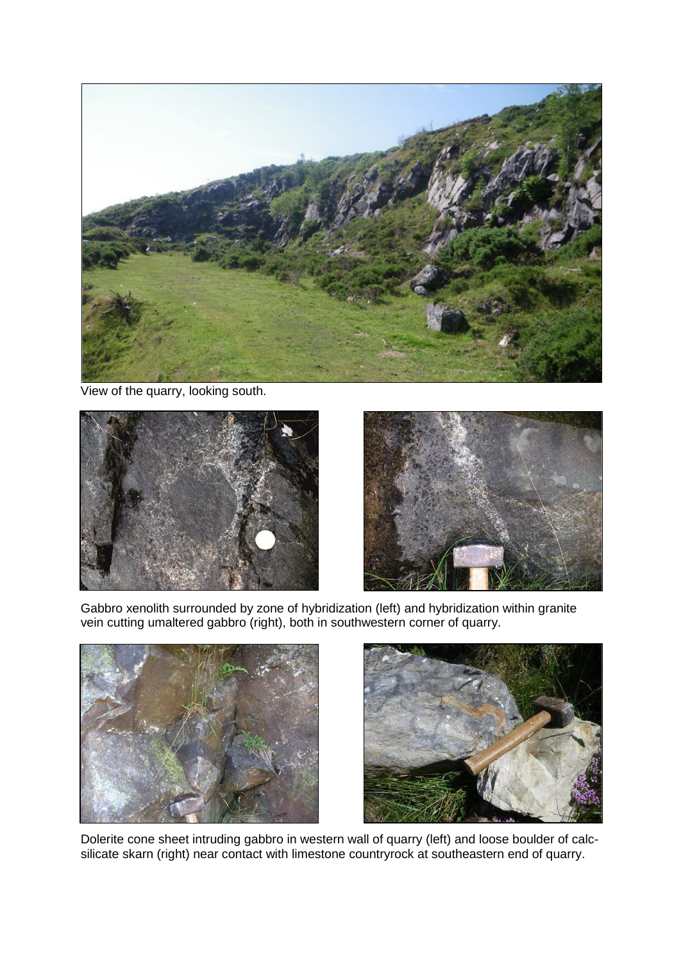

View of the quarry, looking south.





Gabbro xenolith surrounded by zone of hybridization (left) and hybridization within granite vein cutting umaltered gabbro (right), both in southwestern corner of quarry.





Dolerite cone sheet intruding gabbro in western wall of quarry (left) and loose boulder of calcsilicate skarn (right) near contact with limestone countryrock at southeastern end of quarry.